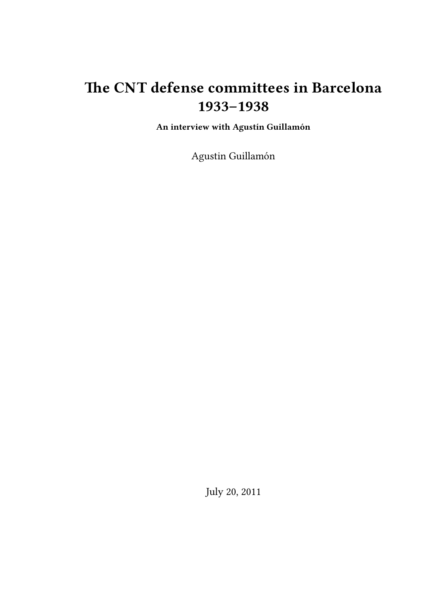# **The CNT defense committees in Barcelona 1933–1938**

**An interview with Agustín Guillamón**

Agustin Guillamón

July 20, 2011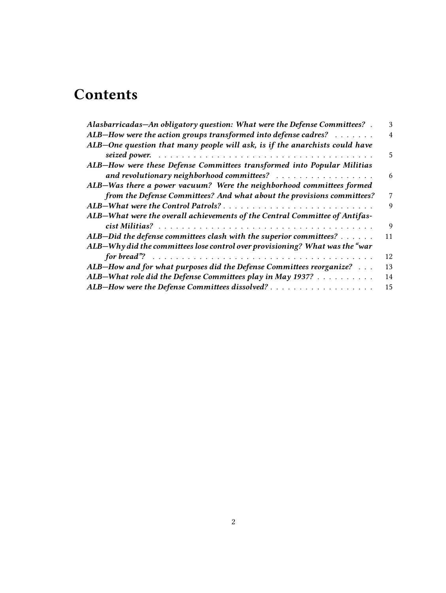# **Contents**

| ALB-How were the action groups transformed into defense cadres? $\dots \dots$<br>ALB-One question that many people will ask, is if the anarchists could have<br>ALB-How were these Defense Committees transformed into Popular Militias<br>ALB-Was there a power vacuum? Were the neighborhood committees formed<br>from the Defense Committees? And what about the provisions committees?<br>ALB-What were the overall achievements of the Central Committee of Antifas-<br>ALB-Did the defense committees clash with the superior committees?<br>ALB-Why did the committees lose control over provisioning? What was the "war<br>ALB-How and for what purposes did the Defense Committees reorganize?<br>ALB-What role did the Defense Committees play in May 1937? | Alasbarricadas-An obligatory question: What were the Defense Committees? . | 3              |
|-----------------------------------------------------------------------------------------------------------------------------------------------------------------------------------------------------------------------------------------------------------------------------------------------------------------------------------------------------------------------------------------------------------------------------------------------------------------------------------------------------------------------------------------------------------------------------------------------------------------------------------------------------------------------------------------------------------------------------------------------------------------------|----------------------------------------------------------------------------|----------------|
|                                                                                                                                                                                                                                                                                                                                                                                                                                                                                                                                                                                                                                                                                                                                                                       |                                                                            | $\overline{4}$ |
|                                                                                                                                                                                                                                                                                                                                                                                                                                                                                                                                                                                                                                                                                                                                                                       |                                                                            |                |
|                                                                                                                                                                                                                                                                                                                                                                                                                                                                                                                                                                                                                                                                                                                                                                       |                                                                            | 5              |
|                                                                                                                                                                                                                                                                                                                                                                                                                                                                                                                                                                                                                                                                                                                                                                       |                                                                            |                |
|                                                                                                                                                                                                                                                                                                                                                                                                                                                                                                                                                                                                                                                                                                                                                                       |                                                                            | 6              |
|                                                                                                                                                                                                                                                                                                                                                                                                                                                                                                                                                                                                                                                                                                                                                                       |                                                                            |                |
|                                                                                                                                                                                                                                                                                                                                                                                                                                                                                                                                                                                                                                                                                                                                                                       |                                                                            | 7              |
|                                                                                                                                                                                                                                                                                                                                                                                                                                                                                                                                                                                                                                                                                                                                                                       |                                                                            | 9              |
|                                                                                                                                                                                                                                                                                                                                                                                                                                                                                                                                                                                                                                                                                                                                                                       |                                                                            |                |
|                                                                                                                                                                                                                                                                                                                                                                                                                                                                                                                                                                                                                                                                                                                                                                       |                                                                            | $\mathbf{Q}$   |
|                                                                                                                                                                                                                                                                                                                                                                                                                                                                                                                                                                                                                                                                                                                                                                       |                                                                            | 11             |
|                                                                                                                                                                                                                                                                                                                                                                                                                                                                                                                                                                                                                                                                                                                                                                       |                                                                            |                |
|                                                                                                                                                                                                                                                                                                                                                                                                                                                                                                                                                                                                                                                                                                                                                                       |                                                                            | 12             |
|                                                                                                                                                                                                                                                                                                                                                                                                                                                                                                                                                                                                                                                                                                                                                                       |                                                                            | 13             |
|                                                                                                                                                                                                                                                                                                                                                                                                                                                                                                                                                                                                                                                                                                                                                                       |                                                                            | 14             |
|                                                                                                                                                                                                                                                                                                                                                                                                                                                                                                                                                                                                                                                                                                                                                                       |                                                                            | 15             |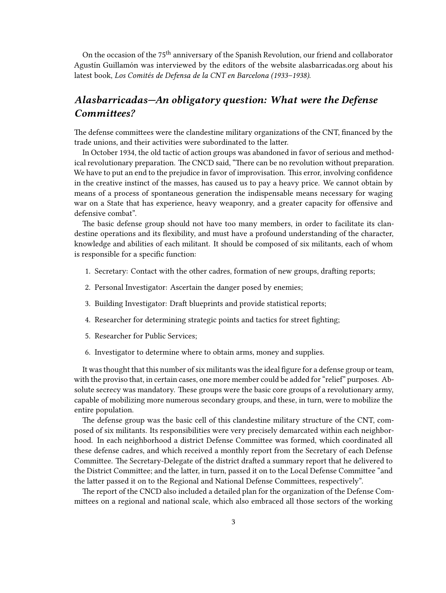On the occasion of the 75<sup>th</sup> anniversary of the Spanish Revolution, our friend and collaborator Agustín Guillamón was interviewed by the editors of the website alasbarricadas.org about his latest book, *Los Comités de Defensa de la CNT en Barcelona (1933–1938)*.

## <span id="page-2-0"></span>*Alasbarricadas—An obligatory question: What were the Defense Committees?*

The defense committees were the clandestine military organizations of the CNT, financed by the trade unions, and their activities were subordinated to the latter.

In October 1934, the old tactic of action groups was abandoned in favor of serious and methodical revolutionary preparation. The CNCD said, "There can be no revolution without preparation. We have to put an end to the prejudice in favor of improvisation. This error, involving confidence in the creative instinct of the masses, has caused us to pay a heavy price. We cannot obtain by means of a process of spontaneous generation the indispensable means necessary for waging war on a State that has experience, heavy weaponry, and a greater capacity for offensive and defensive combat".

The basic defense group should not have too many members, in order to facilitate its clandestine operations and its flexibility, and must have a profound understanding of the character, knowledge and abilities of each militant. It should be composed of six militants, each of whom is responsible for a specific function:

- 1. Secretary: Contact with the other cadres, formation of new groups, drafting reports;
- 2. Personal Investigator: Ascertain the danger posed by enemies;
- 3. Building Investigator: Draft blueprints and provide statistical reports;
- 4. Researcher for determining strategic points and tactics for street fighting;
- 5. Researcher for Public Services;
- 6. Investigator to determine where to obtain arms, money and supplies.

It was thought that this number of six militants was the ideal figure for a defense group or team, with the proviso that, in certain cases, one more member could be added for "relief" purposes. Absolute secrecy was mandatory. These groups were the basic core groups of a revolutionary army, capable of mobilizing more numerous secondary groups, and these, in turn, were to mobilize the entire population.

The defense group was the basic cell of this clandestine military structure of the CNT, composed of six militants. Its responsibilities were very precisely demarcated within each neighborhood. In each neighborhood a district Defense Committee was formed, which coordinated all these defense cadres, and which received a monthly report from the Secretary of each Defense Committee. The Secretary-Delegate of the district drafted a summary report that he delivered to the District Committee; and the latter, in turn, passed it on to the Local Defense Committee "and the latter passed it on to the Regional and National Defense Committees, respectively".

The report of the CNCD also included a detailed plan for the organization of the Defense Committees on a regional and national scale, which also embraced all those sectors of the working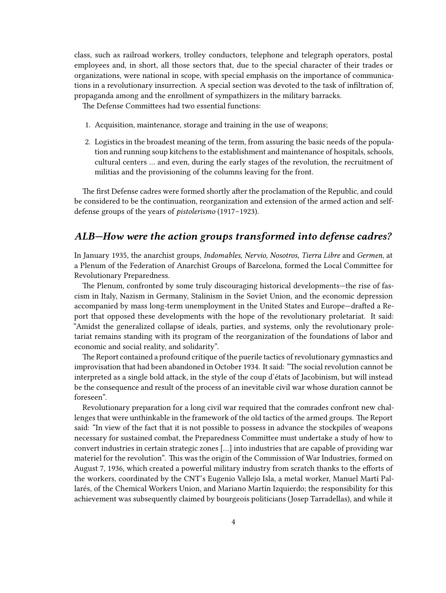class, such as railroad workers, trolley conductors, telephone and telegraph operators, postal employees and, in short, all those sectors that, due to the special character of their trades or organizations, were national in scope, with special emphasis on the importance of communications in a revolutionary insurrection. A special section was devoted to the task of infiltration of, propaganda among and the enrollment of sympathizers in the military barracks.

The Defense Committees had two essential functions:

- 1. Acquisition, maintenance, storage and training in the use of weapons;
- 2. Logistics in the broadest meaning of the term, from assuring the basic needs of the population and running soup kitchens to the establishment and maintenance of hospitals, schools, cultural centers … and even, during the early stages of the revolution, the recruitment of militias and the provisioning of the columns leaving for the front.

The first Defense cadres were formed shortly after the proclamation of the Republic, and could be considered to be the continuation, reorganization and extension of the armed action and selfdefense groups of the years of *pistolerismo* (1917–1923).

## <span id="page-3-0"></span>*ALB—How were the action groups transformed into defense cadres?*

In January 1935, the anarchist groups, *Indomables, Nervio, Nosotros, Tierra Libre* and *Germen*, at a Plenum of the Federation of Anarchist Groups of Barcelona, formed the Local Committee for Revolutionary Preparedness.

The Plenum, confronted by some truly discouraging historical developments—the rise of fascism in Italy, Nazism in Germany, Stalinism in the Soviet Union, and the economic depression accompanied by mass long-term unemployment in the United States and Europe—drafted a Report that opposed these developments with the hope of the revolutionary proletariat. It said: "Amidst the generalized collapse of ideals, parties, and systems, only the revolutionary proletariat remains standing with its program of the reorganization of the foundations of labor and economic and social reality, and solidarity".

The Report contained a profound critique of the puerile tactics of revolutionary gymnastics and improvisation that had been abandoned in October 1934. It said: "The social revolution cannot be interpreted as a single bold attack, in the style of the coup d'états of Jacobinism, but will instead be the consequence and result of the process of an inevitable civil war whose duration cannot be foreseen".

Revolutionary preparation for a long civil war required that the comrades confront new challenges that were unthinkable in the framework of the old tactics of the armed groups. The Report said: "In view of the fact that it is not possible to possess in advance the stockpiles of weapons necessary for sustained combat, the Preparedness Committee must undertake a study of how to convert industries in certain strategic zones […] into industries that are capable of providing war materiel for the revolution". This was the origin of the Commission of War Industries, formed on August 7, 1936, which created a powerful military industry from scratch thanks to the efforts of the workers, coordinated by the CNT's Eugenio Vallejo Isla, a metal worker, Manuel Martí Pallarés, of the Chemical Workers Union, and Mariano Martín Izquierdo; the responsibility for this achievement was subsequently claimed by bourgeois politicians (Josep Tarradellas), and while it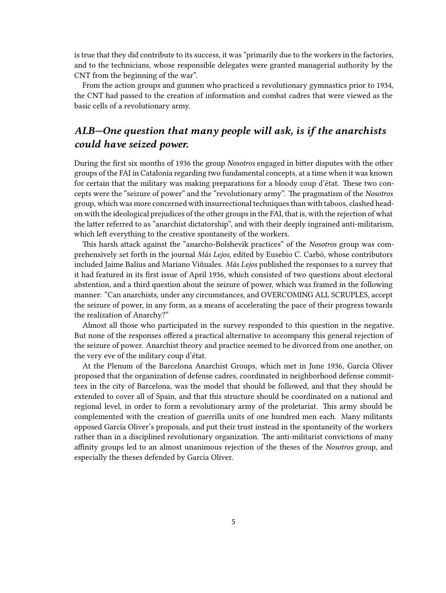is true that they did contribute to its success, it was "primarily due to the workers in the factories, and to the technicians, whose responsible delegates were granted managerial authority by the CNT from the beginning of the war".

From the action groups and gunmen who practiced a revolutionary gymnastics prior to 1934, the CNT had passed to the creation of information and combat cadres that were viewed as the basic cells of a revolutionary army.

## <span id="page-4-0"></span>*ALB—One question that many people will ask, is if the anarchists could have seized power.*

During the first six months of 1936 the group *Nosotros* engaged in bitter disputes with the other groups of the FAI in Catalonia regarding two fundamental concepts, at a time when it was known for certain that the military was making preparations for a bloody coup d'état. These two concepts were the "seizure of power" and the "revolutionary army". The pragmatism of the *Nosotros* group, which was more concerned with insurrectional techniques than with taboos, clashed headon with the ideological prejudices of the other groups in the FAI, that is, with the rejection of what the latter referred to as "anarchist dictatorship", and with their deeply ingrained anti-militarism, which left everything to the creative spontaneity of the workers.

This harsh attack against the "anarcho-Bolshevik practices" of the *Nosotros* group was comprehensively set forth in the journal *Más Lejos*, edited by Eusebio C. Carbó, whose contributors included Jaime Balius and Mariano Viñuales. *Más Lejos* published the responses to a survey that it had featured in its first issue of April 1936, which consisted of two questions about electoral abstention, and a third question about the seizure of power, which was framed in the following manner: "Can anarchists, under any circumstances, and OVERCOMING ALL SCRUPLES, accept the seizure of power, in any form, as a means of accelerating the pace of their progress towards the realization of Anarchy?"

Almost all those who participated in the survey responded to this question in the negative. But none of the responses offered a practical alternative to accompany this general rejection of the seizure of power. Anarchist theory and practice seemed to be divorced from one another, on the very eve of the military coup d'état.

At the Plenum of the Barcelona Anarchist Groups, which met in June 1936, García Oliver proposed that the organization of defense cadres, coordinated in neighborhood defense committees in the city of Barcelona, was the model that should be followed, and that they should be extended to cover all of Spain, and that this structure should be coordinated on a national and regional level, in order to form a revolutionary army of the proletariat. This army should be complemented with the creation of guerrilla units of one hundred men each. Many militants opposed García Oliver's proposals, and put their trust instead in the spontaneity of the workers rather than in a disciplined revolutionary organization. The anti-militarist convictions of many affinity groups led to an almost unanimous rejection of the theses of the *Nosotros* group, and especially the theses defended by García Oliver.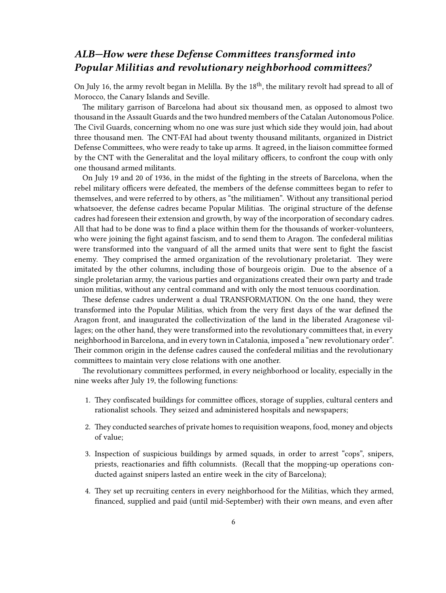## <span id="page-5-0"></span>*ALB—How were these Defense Committees transformed into Popular Militias and revolutionary neighborhood committees?*

On July 16, the army revolt began in Melilla. By the 18<sup>th</sup>, the military revolt had spread to all of Morocco, the Canary Islands and Seville.

The military garrison of Barcelona had about six thousand men, as opposed to almost two thousand in the Assault Guards and the two hundred members of the Catalan Autonomous Police. The Civil Guards, concerning whom no one was sure just which side they would join, had about three thousand men. The CNT-FAI had about twenty thousand militants, organized in District Defense Committees, who were ready to take up arms. It agreed, in the liaison committee formed by the CNT with the Generalitat and the loyal military officers, to confront the coup with only one thousand armed militants.

On July 19 and 20 of 1936, in the midst of the fighting in the streets of Barcelona, when the rebel military officers were defeated, the members of the defense committees began to refer to themselves, and were referred to by others, as "the militiamen". Without any transitional period whatsoever, the defense cadres became Popular Militias. The original structure of the defense cadres had foreseen their extension and growth, by way of the incorporation of secondary cadres. All that had to be done was to find a place within them for the thousands of worker-volunteers, who were joining the fight against fascism, and to send them to Aragon. The confederal militias were transformed into the vanguard of all the armed units that were sent to fight the fascist enemy. They comprised the armed organization of the revolutionary proletariat. They were imitated by the other columns, including those of bourgeois origin. Due to the absence of a single proletarian army, the various parties and organizations created their own party and trade union militias, without any central command and with only the most tenuous coordination.

These defense cadres underwent a dual TRANSFORMATION. On the one hand, they were transformed into the Popular Militias, which from the very first days of the war defined the Aragon front, and inaugurated the collectivization of the land in the liberated Aragonese villages; on the other hand, they were transformed into the revolutionary committees that, in every neighborhood in Barcelona, and in every town in Catalonia, imposed a "new revolutionary order". Their common origin in the defense cadres caused the confederal militias and the revolutionary committees to maintain very close relations with one another.

The revolutionary committees performed, in every neighborhood or locality, especially in the nine weeks after July 19, the following functions:

- 1. They confiscated buildings for committee offices, storage of supplies, cultural centers and rationalist schools. They seized and administered hospitals and newspapers;
- 2. They conducted searches of private homes to requisition weapons, food, money and objects of value;
- 3. Inspection of suspicious buildings by armed squads, in order to arrest "cops", snipers, priests, reactionaries and fifth columnists. (Recall that the mopping-up operations conducted against snipers lasted an entire week in the city of Barcelona);
- 4. They set up recruiting centers in every neighborhood for the Militias, which they armed, financed, supplied and paid (until mid-September) with their own means, and even after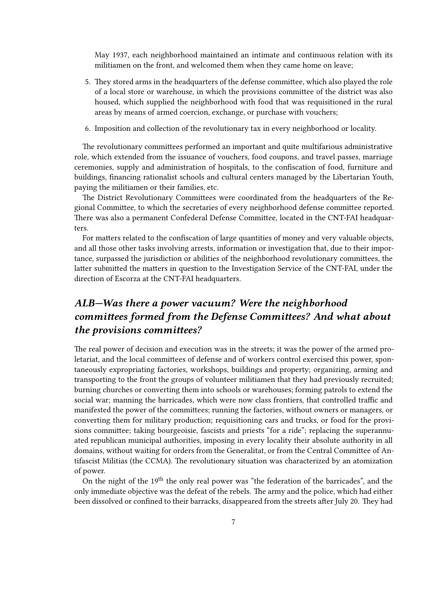May 1937, each neighborhood maintained an intimate and continuous relation with its militiamen on the front, and welcomed them when they came home on leave;

- 5. They stored arms in the headquarters of the defense committee, which also played the role of a local store or warehouse, in which the provisions committee of the district was also housed, which supplied the neighborhood with food that was requisitioned in the rural areas by means of armed coercion, exchange, or purchase with vouchers;
- 6. Imposition and collection of the revolutionary tax in every neighborhood or locality.

The revolutionary committees performed an important and quite multifarious administrative role, which extended from the issuance of vouchers, food coupons, and travel passes, marriage ceremonies, supply and administration of hospitals, to the confiscation of food, furniture and buildings, financing rationalist schools and cultural centers managed by the Libertarian Youth, paying the militiamen or their families, etc.

The District Revolutionary Committees were coordinated from the headquarters of the Regional Committee, to which the secretaries of every neighborhood defense committee reported. There was also a permanent Confederal Defense Committee, located in the CNT-FAI headquarters.

For matters related to the confiscation of large quantities of money and very valuable objects, and all those other tasks involving arrests, information or investigation that, due to their importance, surpassed the jurisdiction or abilities of the neighborhood revolutionary committees, the latter submitted the matters in question to the Investigation Service of the CNT-FAI, under the direction of Escorza at the CNT-FAI headquarters.

## <span id="page-6-0"></span>*ALB—Was there a power vacuum? Were the neighborhood committees formed from the Defense Committees? And what about the provisions committees?*

The real power of decision and execution was in the streets; it was the power of the armed proletariat, and the local committees of defense and of workers control exercised this power, spontaneously expropriating factories, workshops, buildings and property; organizing, arming and transporting to the front the groups of volunteer militiamen that they had previously recruited; burning churches or converting them into schools or warehouses; forming patrols to extend the social war; manning the barricades, which were now class frontiers, that controlled traffic and manifested the power of the committees; running the factories, without owners or managers, or converting them for military production; requisitioning cars and trucks, or food for the provisions committee; taking bourgeoisie, fascists and priests "for a ride"; replacing the superannuated republican municipal authorities, imposing in every locality their absolute authority in all domains, without waiting for orders from the Generalitat, or from the Central Committee of Antifascist Militias (the CCMA). The revolutionary situation was characterized by an atomization of power.

On the night of the 19<sup>th</sup> the only real power was "the federation of the barricades", and the only immediate objective was the defeat of the rebels. The army and the police, which had either been dissolved or confined to their barracks, disappeared from the streets after July 20. They had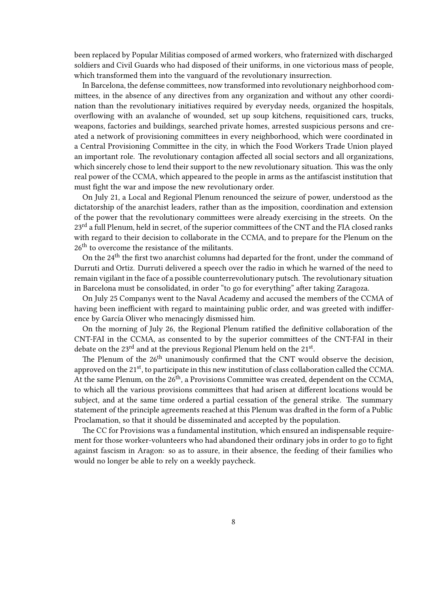been replaced by Popular Militias composed of armed workers, who fraternized with discharged soldiers and Civil Guards who had disposed of their uniforms, in one victorious mass of people, which transformed them into the vanguard of the revolutionary insurrection.

In Barcelona, the defense committees, now transformed into revolutionary neighborhood committees, in the absence of any directives from any organization and without any other coordination than the revolutionary initiatives required by everyday needs, organized the hospitals, overflowing with an avalanche of wounded, set up soup kitchens, requisitioned cars, trucks, weapons, factories and buildings, searched private homes, arrested suspicious persons and created a network of provisioning committees in every neighborhood, which were coordinated in a Central Provisioning Committee in the city, in which the Food Workers Trade Union played an important role. The revolutionary contagion affected all social sectors and all organizations, which sincerely chose to lend their support to the new revolutionary situation. This was the only real power of the CCMA, which appeared to the people in arms as the antifascist institution that must fight the war and impose the new revolutionary order.

On July 21, a Local and Regional Plenum renounced the seizure of power, understood as the dictatorship of the anarchist leaders, rather than as the imposition, coordination and extension of the power that the revolutionary committees were already exercising in the streets. On the 23<sup>rd</sup> a full Plenum, held in secret, of the superior committees of the CNT and the FIA closed ranks with regard to their decision to collaborate in the CCMA, and to prepare for the Plenum on the 26<sup>th</sup> to overcome the resistance of the militants.

On the 24<sup>th</sup> the first two anarchist columns had departed for the front, under the command of Durruti and Ortiz. Durruti delivered a speech over the radio in which he warned of the need to remain vigilant in the face of a possible counterrevolutionary putsch. The revolutionary situation in Barcelona must be consolidated, in order "to go for everything" after taking Zaragoza.

On July 25 Companys went to the Naval Academy and accused the members of the CCMA of having been inefficient with regard to maintaining public order, and was greeted with indifference by García Oliver who menacingly dismissed him.

On the morning of July 26, the Regional Plenum ratified the definitive collaboration of the CNT-FAI in the CCMA, as consented to by the superior committees of the CNT-FAI in their debate on the 23 $^{\rm rd}$  and at the previous Regional Plenum held on the 21 $^{\rm st}$ .

The Plenum of the 26<sup>th</sup> unanimously confirmed that the CNT would observe the decision, approved on the 21<sup>st</sup>, to participate in this new institution of class collaboration called the CCMA. At the same Plenum, on the 26<sup>th</sup>, a Provisions Committee was created, dependent on the CCMA, to which all the various provisions committees that had arisen at different locations would be subject, and at the same time ordered a partial cessation of the general strike. The summary statement of the principle agreements reached at this Plenum was drafted in the form of a Public Proclamation, so that it should be disseminated and accepted by the population.

The CC for Provisions was a fundamental institution, which ensured an indispensable requirement for those worker-volunteers who had abandoned their ordinary jobs in order to go to fight against fascism in Aragon: so as to assure, in their absence, the feeding of their families who would no longer be able to rely on a weekly paycheck.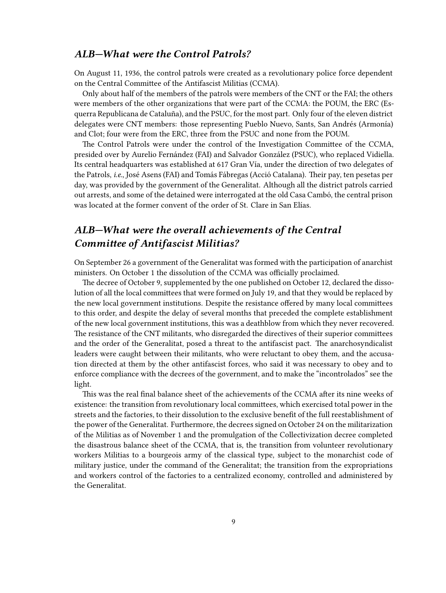### <span id="page-8-0"></span>*ALB—What were the Control Patrols?*

On August 11, 1936, the control patrols were created as a revolutionary police force dependent on the Central Committee of the Antifascist Militias (CCMA).

Only about half of the members of the patrols were members of the CNT or the FAI; the others were members of the other organizations that were part of the CCMA: the POUM, the ERC (Esquerra Republicana de Cataluña), and the PSUC, for the most part. Only four of the eleven district delegates were CNT members: those representing Pueblo Nuevo, Sants, San Andrés (Armonía) and Clot; four were from the ERC, three from the PSUC and none from the POUM.

The Control Patrols were under the control of the Investigation Committee of the CCMA, presided over by Aurelio Fernández (FAI) and Salvador González (PSUC), who replaced Vidiella. Its central headquarters was established at 617 Gran Vía, under the direction of two delegates of the Patrols, *i.e.*, José Asens (FAI) and Tomás Fábregas (Acció Catalana). Their pay, ten pesetas per day, was provided by the government of the Generalitat. Although all the district patrols carried out arrests, and some of the detained were interrogated at the old Casa Cambó, the central prison was located at the former convent of the order of St. Clare in San Elías.

## <span id="page-8-1"></span>*ALB—What were the overall achievements of the Central Committee of Antifascist Militias?*

On September 26 a government of the Generalitat was formed with the participation of anarchist ministers. On October 1 the dissolution of the CCMA was officially proclaimed.

The decree of October 9, supplemented by the one published on October 12, declared the dissolution of all the local committees that were formed on July 19, and that they would be replaced by the new local government institutions. Despite the resistance offered by many local committees to this order, and despite the delay of several months that preceded the complete establishment of the new local government institutions, this was a deathblow from which they never recovered. The resistance of the CNT militants, who disregarded the directives of their superior committees and the order of the Generalitat, posed a threat to the antifascist pact. The anarchosyndicalist leaders were caught between their militants, who were reluctant to obey them, and the accusation directed at them by the other antifascist forces, who said it was necessary to obey and to enforce compliance with the decrees of the government, and to make the "incontrolados" see the light.

This was the real final balance sheet of the achievements of the CCMA after its nine weeks of existence: the transition from revolutionary local committees, which exercised total power in the streets and the factories, to their dissolution to the exclusive benefit of the full reestablishment of the power of the Generalitat. Furthermore, the decrees signed on October 24 on the militarization of the Militias as of November 1 and the promulgation of the Collectivization decree completed the disastrous balance sheet of the CCMA, that is, the transition from volunteer revolutionary workers Militias to a bourgeois army of the classical type, subject to the monarchist code of military justice, under the command of the Generalitat; the transition from the expropriations and workers control of the factories to a centralized economy, controlled and administered by the Generalitat.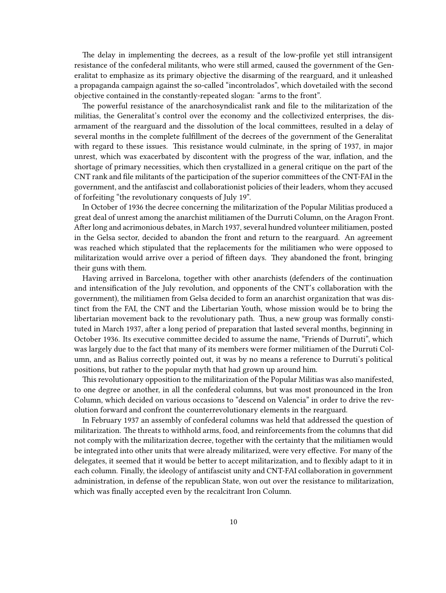The delay in implementing the decrees, as a result of the low-profile yet still intransigent resistance of the confederal militants, who were still armed, caused the government of the Generalitat to emphasize as its primary objective the disarming of the rearguard, and it unleashed a propaganda campaign against the so-called "incontrolados", which dovetailed with the second objective contained in the constantly-repeated slogan: "arms to the front".

The powerful resistance of the anarchosyndicalist rank and file to the militarization of the militias, the Generalitat's control over the economy and the collectivized enterprises, the disarmament of the rearguard and the dissolution of the local committees, resulted in a delay of several months in the complete fulfillment of the decrees of the government of the Generalitat with regard to these issues. This resistance would culminate, in the spring of 1937, in major unrest, which was exacerbated by discontent with the progress of the war, inflation, and the shortage of primary necessities, which then crystallized in a general critique on the part of the CNT rank and file militants of the participation of the superior committees of the CNT-FAI in the government, and the antifascist and collaborationist policies of their leaders, whom they accused of forfeiting "the revolutionary conquests of July 19".

In October of 1936 the decree concerning the militarization of the Popular Militias produced a great deal of unrest among the anarchist militiamen of the Durruti Column, on the Aragon Front. After long and acrimonious debates, in March 1937, several hundred volunteer militiamen, posted in the Gelsa sector, decided to abandon the front and return to the rearguard. An agreement was reached which stipulated that the replacements for the militiamen who were opposed to militarization would arrive over a period of fifteen days. They abandoned the front, bringing their guns with them.

Having arrived in Barcelona, together with other anarchists (defenders of the continuation and intensification of the July revolution, and opponents of the CNT's collaboration with the government), the militiamen from Gelsa decided to form an anarchist organization that was distinct from the FAI, the CNT and the Libertarian Youth, whose mission would be to bring the libertarian movement back to the revolutionary path. Thus, a new group was formally constituted in March 1937, after a long period of preparation that lasted several months, beginning in October 1936. Its executive committee decided to assume the name, "Friends of Durruti", which was largely due to the fact that many of its members were former militiamen of the Durruti Column, and as Balius correctly pointed out, it was by no means a reference to Durruti's political positions, but rather to the popular myth that had grown up around him.

This revolutionary opposition to the militarization of the Popular Militias was also manifested, to one degree or another, in all the confederal columns, but was most pronounced in the Iron Column, which decided on various occasions to "descend on Valencia" in order to drive the revolution forward and confront the counterrevolutionary elements in the rearguard.

In February 1937 an assembly of confederal columns was held that addressed the question of militarization. The threats to withhold arms, food, and reinforcements from the columns that did not comply with the militarization decree, together with the certainty that the militiamen would be integrated into other units that were already militarized, were very effective. For many of the delegates, it seemed that it would be better to accept militarization, and to flexibly adapt to it in each column. Finally, the ideology of antifascist unity and CNT-FAI collaboration in government administration, in defense of the republican State, won out over the resistance to militarization, which was finally accepted even by the recalcitrant Iron Column.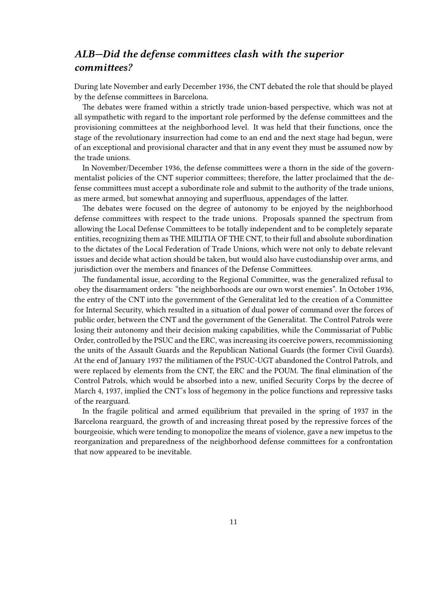## <span id="page-10-0"></span>*ALB—Did the defense committees clash with the superior committees?*

During late November and early December 1936, the CNT debated the role that should be played by the defense committees in Barcelona.

The debates were framed within a strictly trade union-based perspective, which was not at all sympathetic with regard to the important role performed by the defense committees and the provisioning committees at the neighborhood level. It was held that their functions, once the stage of the revolutionary insurrection had come to an end and the next stage had begun, were of an exceptional and provisional character and that in any event they must be assumed now by the trade unions.

In November/December 1936, the defense committees were a thorn in the side of the governmentalist policies of the CNT superior committees; therefore, the latter proclaimed that the defense committees must accept a subordinate role and submit to the authority of the trade unions, as mere armed, but somewhat annoying and superfluous, appendages of the latter.

The debates were focused on the degree of autonomy to be enjoyed by the neighborhood defense committees with respect to the trade unions. Proposals spanned the spectrum from allowing the Local Defense Committees to be totally independent and to be completely separate entities, recognizing them as THE MILITIA OF THE CNT, to their full and absolute subordination to the dictates of the Local Federation of Trade Unions, which were not only to debate relevant issues and decide what action should be taken, but would also have custodianship over arms, and jurisdiction over the members and finances of the Defense Committees.

The fundamental issue, according to the Regional Committee, was the generalized refusal to obey the disarmament orders: "the neighborhoods are our own worst enemies". In October 1936, the entry of the CNT into the government of the Generalitat led to the creation of a Committee for Internal Security, which resulted in a situation of dual power of command over the forces of public order, between the CNT and the government of the Generalitat. The Control Patrols were losing their autonomy and their decision making capabilities, while the Commissariat of Public Order, controlled by the PSUC and the ERC, was increasing its coercive powers, recommissioning the units of the Assault Guards and the Republican National Guards (the former Civil Guards). At the end of January 1937 the militiamen of the PSUC-UGT abandoned the Control Patrols, and were replaced by elements from the CNT, the ERC and the POUM. The final elimination of the Control Patrols, which would be absorbed into a new, unified Security Corps by the decree of March 4, 1937, implied the CNT's loss of hegemony in the police functions and repressive tasks of the rearguard.

In the fragile political and armed equilibrium that prevailed in the spring of 1937 in the Barcelona rearguard, the growth of and increasing threat posed by the repressive forces of the bourgeoisie, which were tending to monopolize the means of violence, gave a new impetus to the reorganization and preparedness of the neighborhood defense committees for a confrontation that now appeared to be inevitable.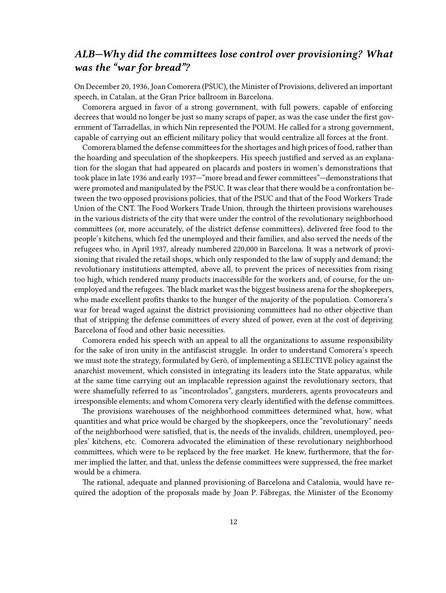## <span id="page-11-0"></span>*ALB—Why did the committees lose control over provisioning? What was the "war for bread"?*

On December 20, 1936, Joan Comorera (PSUC), the Minister of Provisions, delivered an important speech, in Catalan, at the Gran Price ballroom in Barcelona.

Comorera argued in favor of a strong government, with full powers, capable of enforcing decrees that would no longer be just so many scraps of paper, as was the case under the first government of Tarradellas, in which Nin represented the POUM. He called for a strong government, capable of carrying out an efficient military policy that would centralize all forces at the front.

Comorera blamed the defense committees for the shortages and high prices of food, rather than the hoarding and speculation of the shopkeepers. His speech justified and served as an explanation for the slogan that had appeared on placards and posters in women's demonstrations that took place in late 1936 and early 1937—"more bread and fewer committees"—demonstrations that were promoted and manipulated by the PSUC. It was clear that there would be a confrontation between the two opposed provisions policies, that of the PSUC and that of the Food Workers Trade Union of the CNT. The Food Workers Trade Union, through the thirteen provisions warehouses in the various districts of the city that were under the control of the revolutionary neighborhood committees (or, more accurately, of the district defense committees), delivered free food to the people's kitchens, which fed the unemployed and their families, and also served the needs of the refugees who, in April 1937, already numbered 220,000 in Barcelona. It was a network of provisioning that rivaled the retail shops, which only responded to the law of supply and demand; the revolutionary institutions attempted, above all, to prevent the prices of necessities from rising too high, which rendered many products inaccessible for the workers and, of course, for the unemployed and the refugees. The black market was the biggest business arena for the shopkeepers, who made excellent profits thanks to the hunger of the majority of the population. Comorera's war for bread waged against the district provisioning committees had no other objective than that of stripping the defense committees of every shred of power, even at the cost of depriving Barcelona of food and other basic necessities.

Comorera ended his speech with an appeal to all the organizations to assume responsibility for the sake of iron unity in the antifascist struggle. In order to understand Comorera's speech we must note the strategy, formulated by Gerö, of implementing a SELECTIVE policy against the anarchist movement, which consisted in integrating its leaders into the State apparatus, while at the same time carrying out an implacable repression against the revolutionary sectors, that were shamefully referred to as "incontrolados", gangsters, murderers, agents provocateurs and irresponsible elements; and whom Comorera very clearly identified with the defense committees.

The provisions warehouses of the neighborhood committees determined what, how, what quantities and what price would be charged by the shopkeepers, once the "revolutionary" needs of the neighborhood were satisfied, that is, the needs of the invalids, children, unemployed, peoples' kitchens, etc. Comorera advocated the elimination of these revolutionary neighborhood committees, which were to be replaced by the free market. He knew, furthermore, that the former implied the latter, and that, unless the defense committees were suppressed, the free market would be a chimera.

The rational, adequate and planned provisioning of Barcelona and Catalonia, would have required the adoption of the proposals made by Joan P. Fábregas, the Minister of the Economy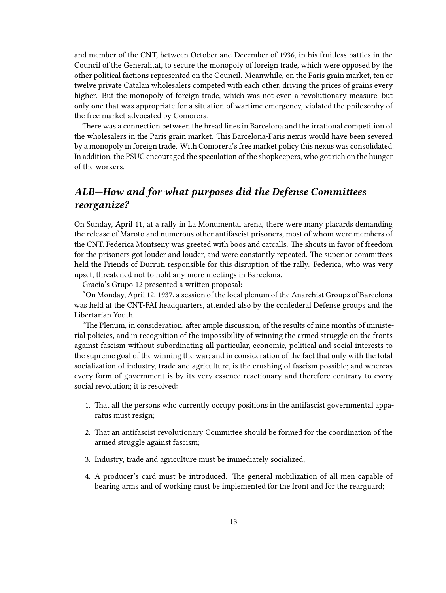and member of the CNT, between October and December of 1936, in his fruitless battles in the Council of the Generalitat, to secure the monopoly of foreign trade, which were opposed by the other political factions represented on the Council. Meanwhile, on the Paris grain market, ten or twelve private Catalan wholesalers competed with each other, driving the prices of grains every higher. But the monopoly of foreign trade, which was not even a revolutionary measure, but only one that was appropriate for a situation of wartime emergency, violated the philosophy of the free market advocated by Comorera.

There was a connection between the bread lines in Barcelona and the irrational competition of the wholesalers in the Paris grain market. This Barcelona-Paris nexus would have been severed by a monopoly in foreign trade. With Comorera's free market policy this nexus was consolidated. In addition, the PSUC encouraged the speculation of the shopkeepers, who got rich on the hunger of the workers.

## <span id="page-12-0"></span>*ALB—How and for what purposes did the Defense Committees reorganize?*

On Sunday, April 11, at a rally in La Monumental arena, there were many placards demanding the release of Maroto and numerous other antifascist prisoners, most of whom were members of the CNT. Federica Montseny was greeted with boos and catcalls. The shouts in favor of freedom for the prisoners got louder and louder, and were constantly repeated. The superior committees held the Friends of Durruti responsible for this disruption of the rally. Federica, who was very upset, threatened not to hold any more meetings in Barcelona.

Gracia's Grupo 12 presented a written proposal:

"On Monday, April 12, 1937, a session of the local plenum of the Anarchist Groups of Barcelona was held at the CNT-FAI headquarters, attended also by the confederal Defense groups and the Libertarian Youth.

"The Plenum, in consideration, after ample discussion, of the results of nine months of ministerial policies, and in recognition of the impossibility of winning the armed struggle on the fronts against fascism without subordinating all particular, economic, political and social interests to the supreme goal of the winning the war; and in consideration of the fact that only with the total socialization of industry, trade and agriculture, is the crushing of fascism possible; and whereas every form of government is by its very essence reactionary and therefore contrary to every social revolution; it is resolved:

- 1. That all the persons who currently occupy positions in the antifascist governmental apparatus must resign;
- 2. That an antifascist revolutionary Committee should be formed for the coordination of the armed struggle against fascism;
- 3. Industry, trade and agriculture must be immediately socialized;
- 4. A producer's card must be introduced. The general mobilization of all men capable of bearing arms and of working must be implemented for the front and for the rearguard;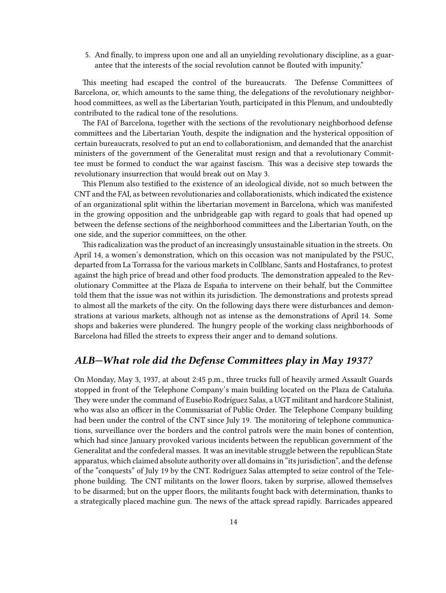5. And finally, to impress upon one and all an unyielding revolutionary discipline, as a guarantee that the interests of the social revolution cannot be flouted with impunity."

This meeting had escaped the control of the bureaucrats. The Defense Committees of Barcelona, or, which amounts to the same thing, the delegations of the revolutionary neighborhood committees, as well as the Libertarian Youth, participated in this Plenum, and undoubtedly contributed to the radical tone of the resolutions.

The FAI of Barcelona, together with the sections of the revolutionary neighborhood defense committees and the Libertarian Youth, despite the indignation and the hysterical opposition of certain bureaucrats, resolved to put an end to collaborationism, and demanded that the anarchist ministers of the government of the Generalitat must resign and that a revolutionary Committee must be formed to conduct the war against fascism. This was a decisive step towards the revolutionary insurrection that would break out on May 3.

This Plenum also testified to the existence of an ideological divide, not so much between the CNT and the FAI, as between revolutionaries and collaborationists, which indicated the existence of an organizational split within the libertarian movement in Barcelona, which was manifested in the growing opposition and the unbridgeable gap with regard to goals that had opened up between the defense sections of the neighborhood committees and the Libertarian Youth, on the one side, and the superior committees, on the other.

This radicalization was the product of an increasingly unsustainable situation in the streets. On April 14, a women's demonstration, which on this occasion was not manipulated by the PSUC, departed from La Torrassa for the various markets in Collblanc, Sants and Hostafrancs, to protest against the high price of bread and other food products. The demonstration appealed to the Revolutionary Committee at the Plaza de España to intervene on their behalf, but the Committee told them that the issue was not within its jurisdiction. The demonstrations and protests spread to almost all the markets of the city. On the following days there were disturbances and demonstrations at various markets, although not as intense as the demonstrations of April 14. Some shops and bakeries were plundered. The hungry people of the working class neighborhoods of Barcelona had filled the streets to express their anger and to demand solutions.

### <span id="page-13-0"></span>*ALB—What role did the Defense Committees play in May 1937?*

On Monday, May 3, 1937, at about 2:45 p.m., three trucks full of heavily armed Assault Guards stopped in front of the Telephone Company's main building located on the Plaza de Cataluña. They were under the command of Eusebio Rodríguez Salas, a UGT militant and hardcore Stalinist, who was also an officer in the Commissariat of Public Order. The Telephone Company building had been under the control of the CNT since July 19. The monitoring of telephone communications, surveillance over the borders and the control patrols were the main bones of contention, which had since January provoked various incidents between the republican government of the Generalitat and the confederal masses. It was an inevitable struggle between the republican State apparatus, which claimed absolute authority over all domains in "its jurisdiction", and the defense of the "conquests" of July 19 by the CNT. Rodríguez Salas attempted to seize control of the Telephone building. The CNT militants on the lower floors, taken by surprise, allowed themselves to be disarmed; but on the upper floors, the militants fought back with determination, thanks to a strategically placed machine gun. The news of the attack spread rapidly. Barricades appeared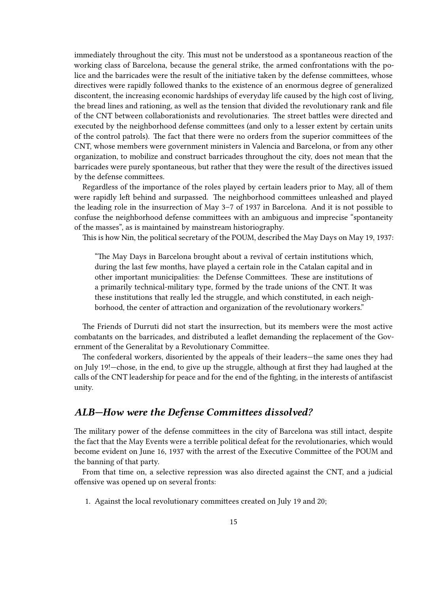immediately throughout the city. This must not be understood as a spontaneous reaction of the working class of Barcelona, because the general strike, the armed confrontations with the police and the barricades were the result of the initiative taken by the defense committees, whose directives were rapidly followed thanks to the existence of an enormous degree of generalized discontent, the increasing economic hardships of everyday life caused by the high cost of living, the bread lines and rationing, as well as the tension that divided the revolutionary rank and file of the CNT between collaborationists and revolutionaries. The street battles were directed and executed by the neighborhood defense committees (and only to a lesser extent by certain units of the control patrols). The fact that there were no orders from the superior committees of the CNT, whose members were government ministers in Valencia and Barcelona, or from any other organization, to mobilize and construct barricades throughout the city, does not mean that the barricades were purely spontaneous, but rather that they were the result of the directives issued by the defense committees.

Regardless of the importance of the roles played by certain leaders prior to May, all of them were rapidly left behind and surpassed. The neighborhood committees unleashed and played the leading role in the insurrection of May 3–7 of 1937 in Barcelona. And it is not possible to confuse the neighborhood defense committees with an ambiguous and imprecise "spontaneity of the masses", as is maintained by mainstream historiography.

This is how Nin, the political secretary of the POUM, described the May Days on May 19, 1937:

"The May Days in Barcelona brought about a revival of certain institutions which, during the last few months, have played a certain role in the Catalan capital and in other important municipalities: the Defense Committees. These are institutions of a primarily technical-military type, formed by the trade unions of the CNT. It was these institutions that really led the struggle, and which constituted, in each neighborhood, the center of attraction and organization of the revolutionary workers."

The Friends of Durruti did not start the insurrection, but its members were the most active combatants on the barricades, and distributed a leaflet demanding the replacement of the Government of the Generalitat by a Revolutionary Committee.

The confederal workers, disoriented by the appeals of their leaders—the same ones they had on July 19!—chose, in the end, to give up the struggle, although at first they had laughed at the calls of the CNT leadership for peace and for the end of the fighting, in the interests of antifascist unity.

#### <span id="page-14-0"></span>*ALB—How were the Defense Committees dissolved?*

The military power of the defense committees in the city of Barcelona was still intact, despite the fact that the May Events were a terrible political defeat for the revolutionaries, which would become evident on June 16, 1937 with the arrest of the Executive Committee of the POUM and the banning of that party.

From that time on, a selective repression was also directed against the CNT, and a judicial offensive was opened up on several fronts:

1. Against the local revolutionary committees created on July 19 and 20;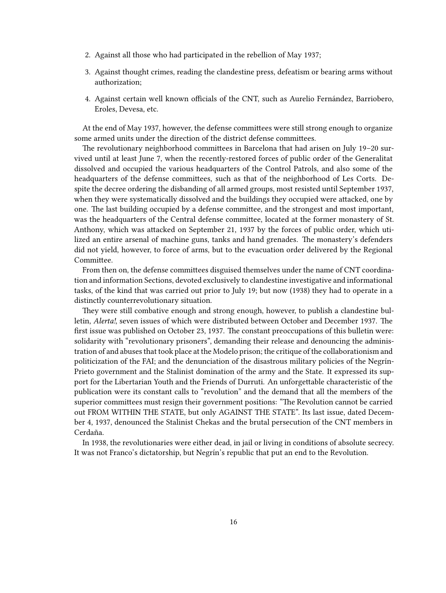- 2. Against all those who had participated in the rebellion of May 1937;
- 3. Against thought crimes, reading the clandestine press, defeatism or bearing arms without authorization;
- 4. Against certain well known officials of the CNT, such as Aurelio Fernández, Barriobero, Eroles, Devesa, etc.

At the end of May 1937, however, the defense committees were still strong enough to organize some armed units under the direction of the district defense committees.

The revolutionary neighborhood committees in Barcelona that had arisen on July 19–20 survived until at least June 7, when the recently-restored forces of public order of the Generalitat dissolved and occupied the various headquarters of the Control Patrols, and also some of the headquarters of the defense committees, such as that of the neighborhood of Les Corts. Despite the decree ordering the disbanding of all armed groups, most resisted until September 1937, when they were systematically dissolved and the buildings they occupied were attacked, one by one. The last building occupied by a defense committee, and the strongest and most important, was the headquarters of the Central defense committee, located at the former monastery of St. Anthony, which was attacked on September 21, 1937 by the forces of public order, which utilized an entire arsenal of machine guns, tanks and hand grenades. The monastery's defenders did not yield, however, to force of arms, but to the evacuation order delivered by the Regional Committee.

From then on, the defense committees disguised themselves under the name of CNT coordination and information Sections, devoted exclusively to clandestine investigative and informational tasks, of the kind that was carried out prior to July 19; but now (1938) they had to operate in a distinctly counterrevolutionary situation.

They were still combative enough and strong enough, however, to publish a clandestine bulletin, *Alerta!*, seven issues of which were distributed between October and December 1937. The first issue was published on October 23, 1937. The constant preoccupations of this bulletin were: solidarity with "revolutionary prisoners", demanding their release and denouncing the administration of and abuses that took place at the Modelo prison; the critique of the collaborationism and politicization of the FAI; and the denunciation of the disastrous military policies of the Negrín-Prieto government and the Stalinist domination of the army and the State. It expressed its support for the Libertarian Youth and the Friends of Durruti. An unforgettable characteristic of the publication were its constant calls to "revolution" and the demand that all the members of the superior committees must resign their government positions: "The Revolution cannot be carried out FROM WITHIN THE STATE, but only AGAINST THE STATE". Its last issue, dated December 4, 1937, denounced the Stalinist Chekas and the brutal persecution of the CNT members in Cerdaña.

In 1938, the revolutionaries were either dead, in jail or living in conditions of absolute secrecy. It was not Franco's dictatorship, but Negrín's republic that put an end to the Revolution.